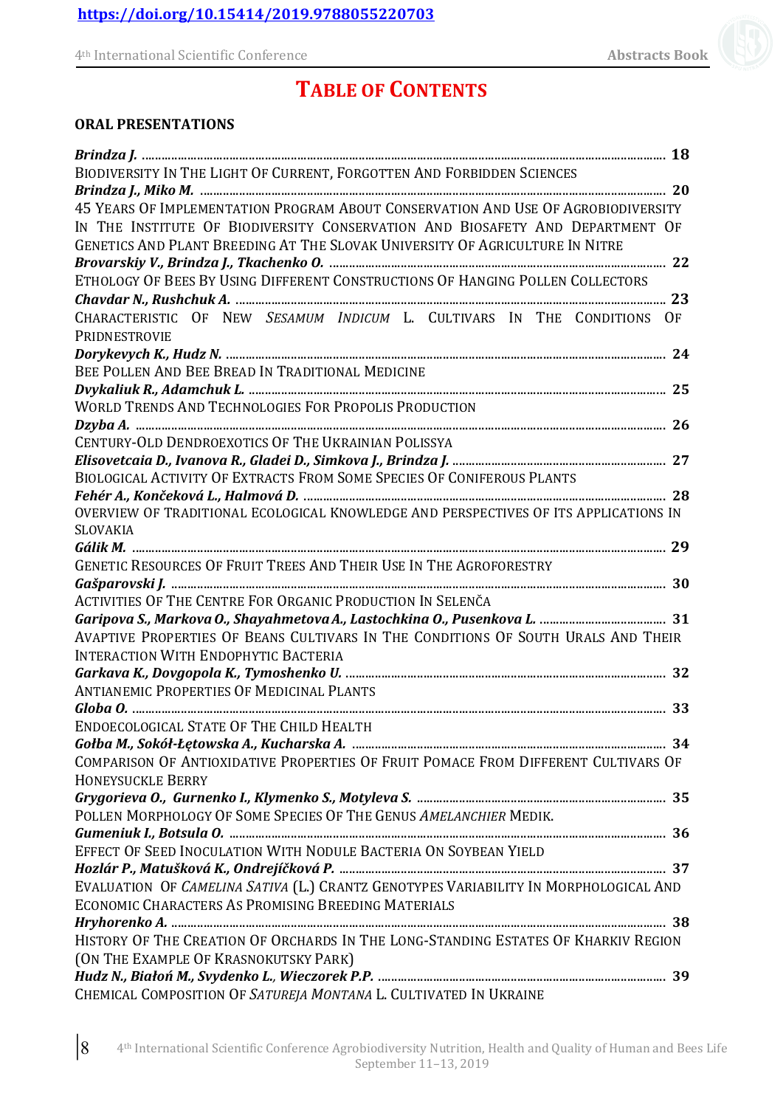# **TABLE OF CONTENTS**

### **ORAL PRESENTATIONS**

| BIODIVERSITY IN THE LIGHT OF CURRENT, FORGOTTEN AND FORBIDDEN SCIENCES               |  |
|--------------------------------------------------------------------------------------|--|
|                                                                                      |  |
| 45 YEARS OF IMPLEMENTATION PROGRAM ABOUT CONSERVATION AND USE OF AGROBIODIVERSITY    |  |
| IN THE INSTITUTE OF BIODIVERSITY CONSERVATION AND BIOSAFETY AND DEPARTMENT OF        |  |
| GENETICS AND PLANT BREEDING AT THE SLOVAK UNIVERSITY OF AGRICULTURE IN NITRE         |  |
|                                                                                      |  |
| ETHOLOGY OF BEES BY USING DIFFERENT CONSTRUCTIONS OF HANGING POLLEN COLLECTORS       |  |
|                                                                                      |  |
| CHARACTERISTIC OF NEW SESAMUM INDICUM L. CULTIVARS IN THE CONDITIONS OF              |  |
| PRIDNESTROVIE                                                                        |  |
|                                                                                      |  |
| BEE POLLEN AND BEE BREAD IN TRADITIONAL MEDICINE                                     |  |
|                                                                                      |  |
| <b>WORLD TRENDS AND TECHNOLOGIES FOR PROPOLIS PRODUCTION</b>                         |  |
|                                                                                      |  |
| CENTURY-OLD DENDROEXOTICS OF THE UKRAINIAN POLISSYA                                  |  |
|                                                                                      |  |
| BIOLOGICAL ACTIVITY OF EXTRACTS FROM SOME SPECIES OF CONIFEROUS PLANTS               |  |
|                                                                                      |  |
| OVERVIEW OF TRADITIONAL ECOLOGICAL KNOWLEDGE AND PERSPECTIVES OF ITS APPLICATIONS IN |  |
| <b>SLOVAKIA</b>                                                                      |  |
|                                                                                      |  |
| GENETIC RESOURCES OF FRUIT TREES AND THEIR USE IN THE AGROFORESTRY                   |  |
|                                                                                      |  |
| ACTIVITIES OF THE CENTRE FOR ORGANIC PRODUCTION IN SELENČA                           |  |
|                                                                                      |  |
| AVAPTIVE PROPERTIES OF BEANS CULTIVARS IN THE CONDITIONS OF SOUTH URALS AND THEIR    |  |
| <b>INTERACTION WITH ENDOPHYTIC BACTERIA</b>                                          |  |
| <b>ANTIANEMIC PROPERTIES OF MEDICINAL PLANTS</b>                                     |  |
|                                                                                      |  |
| ENDOECOLOGICAL STATE OF THE CHILD HEALTH                                             |  |
|                                                                                      |  |
| COMPARISON OF ANTIOXIDATIVE PROPERTIES OF FRUIT POMACE FROM DIFFERENT CULTIVARS OF   |  |
| <b>HONEYSUCKLE BERRY</b>                                                             |  |
|                                                                                      |  |
| POLLEN MORPHOLOGY OF SOME SPECIES OF THE GENUS AMELANCHIER MEDIK.                    |  |
|                                                                                      |  |
| EFFECT OF SEED INOCULATION WITH NODULE BACTERIA ON SOYBEAN YIELD                     |  |
|                                                                                      |  |
| EVALUATION OF CAMELINA SATIVA (L.) CRANTZ GENOTYPES VARIABILITY IN MORPHOLOGICAL AND |  |
| ECONOMIC CHARACTERS AS PROMISING BREEDING MATERIALS                                  |  |
|                                                                                      |  |
| HISTORY OF THE CREATION OF ORCHARDS IN THE LONG-STANDING ESTATES OF KHARKIV REGION   |  |
| (ON THE EXAMPLE OF KRASNOKUTSKY PARK)                                                |  |
|                                                                                      |  |
| CHEMICAL COMPOSITION OF SATUREJA MONTANA L. CULTIVATED IN UKRAINE                    |  |
|                                                                                      |  |

|8 4th International Scientific Conference Agrobiodiversity Nutrition, Health and Quality of Human and Bees Life September 11–13, 2019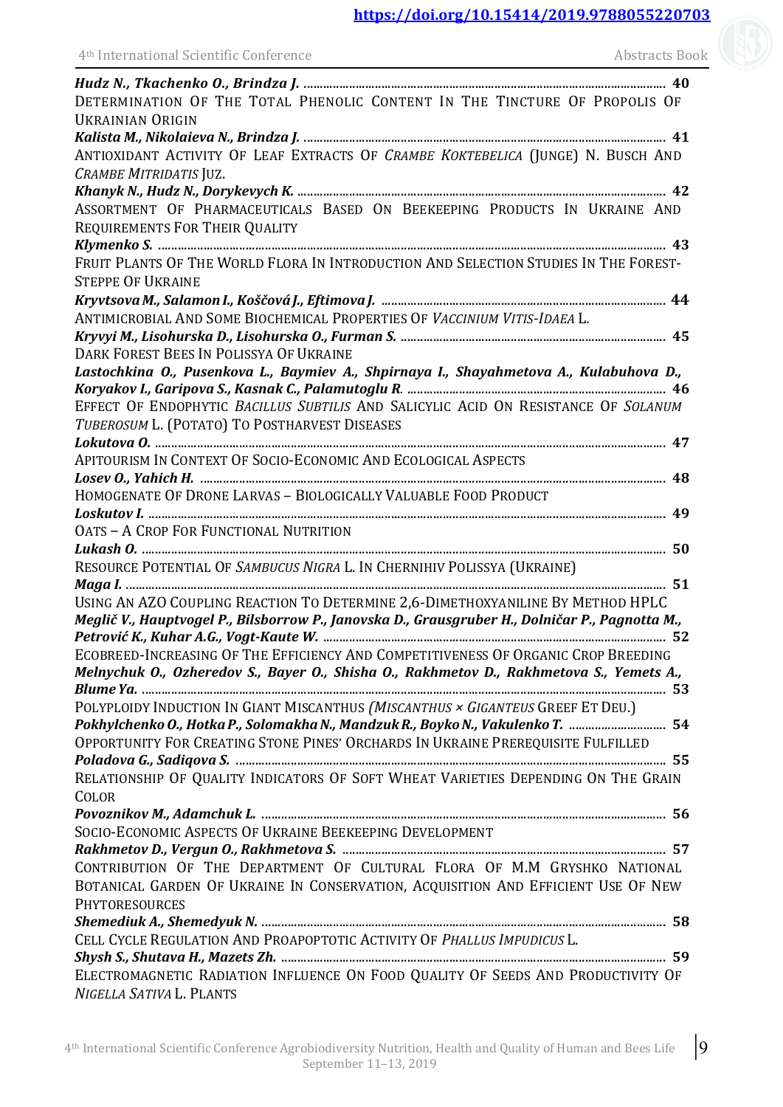| 4 <sup>th</sup> International Scientific Conference<br><u> 1980 - Johann Barn, mars ann an t-Amhain Aonaich an t-Aonaich an t-Aonaich ann an t-Aonaich ann an t-Aonaich</u>    | <b>Abstracts Book</b> |
|--------------------------------------------------------------------------------------------------------------------------------------------------------------------------------|-----------------------|
|                                                                                                                                                                                |                       |
| DETERMINATION OF THE TOTAL PHENOLIC CONTENT IN THE TINCTURE OF PROPOLIS OF                                                                                                     |                       |
| <b>UKRAINIAN ORIGIN</b>                                                                                                                                                        |                       |
|                                                                                                                                                                                |                       |
| ANTIOXIDANT ACTIVITY OF LEAF EXTRACTS OF CRAMBE KOKTEBELICA (JUNGE) N. BUSCH AND                                                                                               |                       |
| CRAMBE MITRIDATIS JUZ.                                                                                                                                                         |                       |
|                                                                                                                                                                                |                       |
| ASSORTMENT OF PHARMACEUTICALS BASED ON BEEKEEPING PRODUCTS IN UKRAINE AND<br>REQUIREMENTS FOR THEIR QUALITY                                                                    |                       |
|                                                                                                                                                                                |                       |
| FRUIT PLANTS OF THE WORLD FLORA IN INTRODUCTION AND SELECTION STUDIES IN THE FOREST-<br><b>STEPPE OF UKRAINE</b>                                                               |                       |
| Kryvtsova M., Salamon I., Koščová J., Eftimova J. ………………………………………………………………………………… 44                                                                                           |                       |
| ANTIMICROBIAL AND SOME BIOCHEMICAL PROPERTIES OF VACCINIUM VITIS-IDAEA L.                                                                                                      |                       |
|                                                                                                                                                                                |                       |
| DARK FOREST BEES IN POLISSYA OF UKRAINE                                                                                                                                        |                       |
| Lastochkina O., Pusenkova L., Baymiev A., Shpirnaya I., Shayahmetova A., Kulabuhova D.,                                                                                        |                       |
|                                                                                                                                                                                |                       |
| EFFECT OF ENDOPHYTIC BACILLUS SUBTILIS AND SALICYLIC ACID ON RESISTANCE OF SOLANUM                                                                                             |                       |
| TUBEROSUM L. (POTATO) TO POSTHARVEST DISEASES                                                                                                                                  |                       |
| APITOURISM IN CONTEXT OF SOCIO-ECONOMIC AND ECOLOGICAL ASPECTS                                                                                                                 |                       |
|                                                                                                                                                                                |                       |
| HOMOGENATE OF DRONE LARVAS - BIOLOGICALLY VALUABLE FOOD PRODUCT                                                                                                                |                       |
|                                                                                                                                                                                |                       |
| OATS - A CROP FOR FUNCTIONAL NUTRITION                                                                                                                                         |                       |
|                                                                                                                                                                                |                       |
| RESOURCE POTENTIAL OF SAMBUCUS NIGRA L. IN CHERNIHIV POLISSYA (UKRAINE)                                                                                                        |                       |
|                                                                                                                                                                                |                       |
| USING AN AZO COUPLING REACTION TO DETERMINE 2,6-DIMETHOXYANILINE BY METHOD HPLC                                                                                                |                       |
| Meglič V., Hauptvogel P., Bilsborrow P., Janovska D., Grausgruber H., Dolničar P., Pagnotta M.,                                                                                |                       |
|                                                                                                                                                                                |                       |
| ECOBREED-INCREASING OF THE EFFICIENCY AND COMPETITIVENESS OF ORGANIC CROP BREEDING<br>Melnychuk O., Ozheredov S., Bayer O., Shisha O., Rakhmetov D., Rakhmetova S., Yemets A., |                       |
| POLYPLOIDY INDUCTION IN GIANT MISCANTHUS (MISCANTHUS × GIGANTEUS GREEF ET DEU.)                                                                                                |                       |
| Pokhylchenko O., Hotka P., Solomakha N., Mandzuk R., Boyko N., Vakulenko T.  54                                                                                                |                       |
| OPPORTUNITY FOR CREATING STONE PINES' ORCHARDS IN UKRAINE PREREQUISITE FULFILLED                                                                                               |                       |
|                                                                                                                                                                                |                       |
| RELATIONSHIP OF QUALITY INDICATORS OF SOFT WHEAT VARIETIES DEPENDING ON THE GRAIN                                                                                              |                       |
| COLOR                                                                                                                                                                          |                       |
|                                                                                                                                                                                |                       |
| SOCIO-ECONOMIC ASPECTS OF UKRAINE BEEKEEPING DEVELOPMENT                                                                                                                       |                       |
|                                                                                                                                                                                |                       |
| CONTRIBUTION OF THE DEPARTMENT OF CULTURAL FLORA OF M.M GRYSHKO NATIONAL                                                                                                       |                       |
| BOTANICAL GARDEN OF UKRAINE IN CONSERVATION, ACQUISITION AND EFFICIENT USE OF NEW                                                                                              |                       |
| <b>PHYTORESOURCES</b>                                                                                                                                                          |                       |
|                                                                                                                                                                                |                       |
| CELL CYCLE REGULATION AND PROAPOPTOTIC ACTIVITY OF PHALLUS IMPUDICUS L.                                                                                                        |                       |
|                                                                                                                                                                                |                       |
| ELECTROMAGNETIC RADIATION INFLUENCE ON FOOD QUALITY OF SEEDS AND PRODUCTIVITY OF                                                                                               |                       |
| NIGELLA SATIVA L. PLANTS                                                                                                                                                       |                       |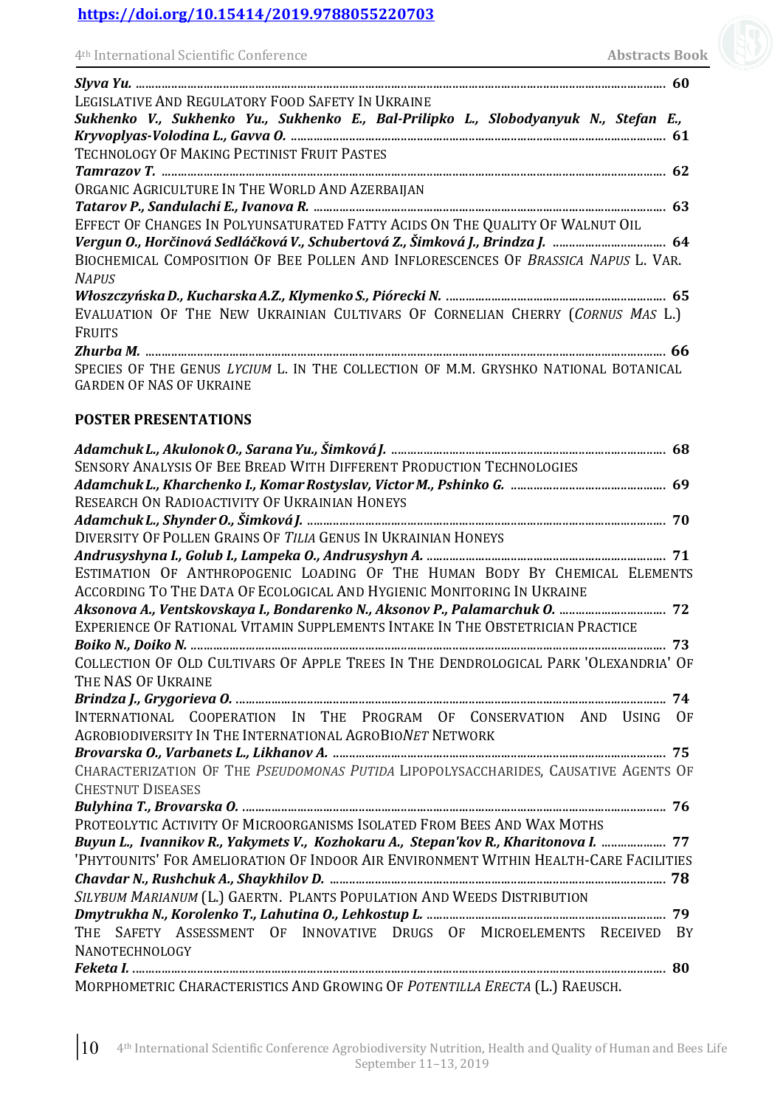| 4 <sup>th</sup> International Scientific Conference |  |  |
|-----------------------------------------------------|--|--|
|-----------------------------------------------------|--|--|

| LEGISLATIVE AND REGULATORY FOOD SAFETY IN UKRAINE                                    |
|--------------------------------------------------------------------------------------|
| Sukhenko V., Sukhenko Yu., Sukhenko E., Bal-Prilipko L., Slobodyanyuk N., Stefan E., |
|                                                                                      |
| TECHNOLOGY OF MAKING PECTINIST FRUIT PASTES                                          |
|                                                                                      |
| ORGANIC AGRICULTURE IN THE WORLD AND AZERBAIJAN                                      |
|                                                                                      |
| EFFECT OF CHANGES IN POLYUNSATURATED FATTY ACIDS ON THE QUALITY OF WALNUT OIL        |
| Vergun O., Horčinová Sedláčková V., Schubertová Z., Šimková J., Brindza J.  64       |
| BIOCHEMICAL COMPOSITION OF BEE POLLEN AND INFLORESCENCES OF BRASSICA NAPUS L. VAR.   |
| <b>NAPUS</b>                                                                         |
|                                                                                      |
| EVALUATION OF THE NEW UKRAINIAN CULTIVARS OF CORNELIAN CHERRY (CORNUS MAS L.)        |
| <b>FRUITS</b>                                                                        |
|                                                                                      |
| SPECIES OF THE GENUS LYCIUM L. IN THE COLLECTION OF M.M. GRYSHKO NATIONAL BOTANICAL  |
| <b>GARDEN OF NAS OF UKRAINE</b>                                                      |
|                                                                                      |
| <b>POSTER PRESENTATIONS</b>                                                          |
|                                                                                      |
| <b>SENSORY ANALYSIS OF BEE BREAD WITH DIFFERENT PRODUCTION TECHNOLOGIES</b>          |
|                                                                                      |
| <b>RECEADCH ON RADIOACTIVITY OF HEDAINIAN HONEVS</b>                                 |

| RESEARCH ON RADIOACTIVITY OF UKRAINIAN HONEYS                                         |
|---------------------------------------------------------------------------------------|
|                                                                                       |
| DIVERSITY OF POLLEN GRAINS OF TILIA GENUS IN UKRAINIAN HONEYS                         |
|                                                                                       |
| ESTIMATION OF ANTHROPOGENIC LOADING OF THE HUMAN BODY BY CHEMICAL ELEMENTS            |
| ACCORDING TO THE DATA OF ECOLOGICAL AND HYGIENIC MONITORING IN UKRAINE                |
| Aksonova A., Ventskovskaya I., Bondarenko N., Aksonov P., Palamarchuk O.  72          |
| EXPERIENCE OF RATIONAL VITAMIN SUPPLEMENTS INTAKE IN THE OBSTETRICIAN PRACTICE        |
|                                                                                       |
| COLLECTION OF OLD CULTIVARS OF APPLE TREES IN THE DENDROLOGICAL PARK 'OLEXANDRIA' OF  |
| THE NAS OF UKRAINE                                                                    |
|                                                                                       |
| INTERNATIONAL COOPERATION IN THE PROGRAM OF CONSERVATION AND USING<br>0F              |
| AGROBIODIVERSITY IN THE INTERNATIONAL AGROBIONET NETWORK                              |
|                                                                                       |
| CHARACTERIZATION OF THE PSEUDOMONAS PUTIDA LIPOPOLYSACCHARIDES, CAUSATIVE AGENTS OF   |
| <b>CHESTNUT DISEASES</b>                                                              |
|                                                                                       |
| PROTEOLYTIC ACTIVITY OF MICROORGANISMS ISOLATED FROM BEES AND WAX MOTHS               |
| Buyun L., Ivannikov R., Yakymets V., Kozhokaru A., Stepan'kov R., Kharitonova I.  77  |
| 'PHYTOUNITS' FOR AMELIORATION OF INDOOR AIR ENVIRONMENT WITHIN HEALTH-CARE FACILITIES |
|                                                                                       |
| SILYBUM MARIANUM (L.) GAERTN. PLANTS POPULATION AND WEEDS DISTRIBUTION                |
|                                                                                       |
| THE SAFETY ASSESSMENT OF INNOVATIVE DRUGS OF MICROELEMENTS RECEIVED BY                |
| <b>NANOTECHNOLOGY</b>                                                                 |
|                                                                                       |
| MORPHOMETRIC CHARACTERISTICS AND GROWING OF POTENTILLA ERECTA (L.) RAEUSCH.           |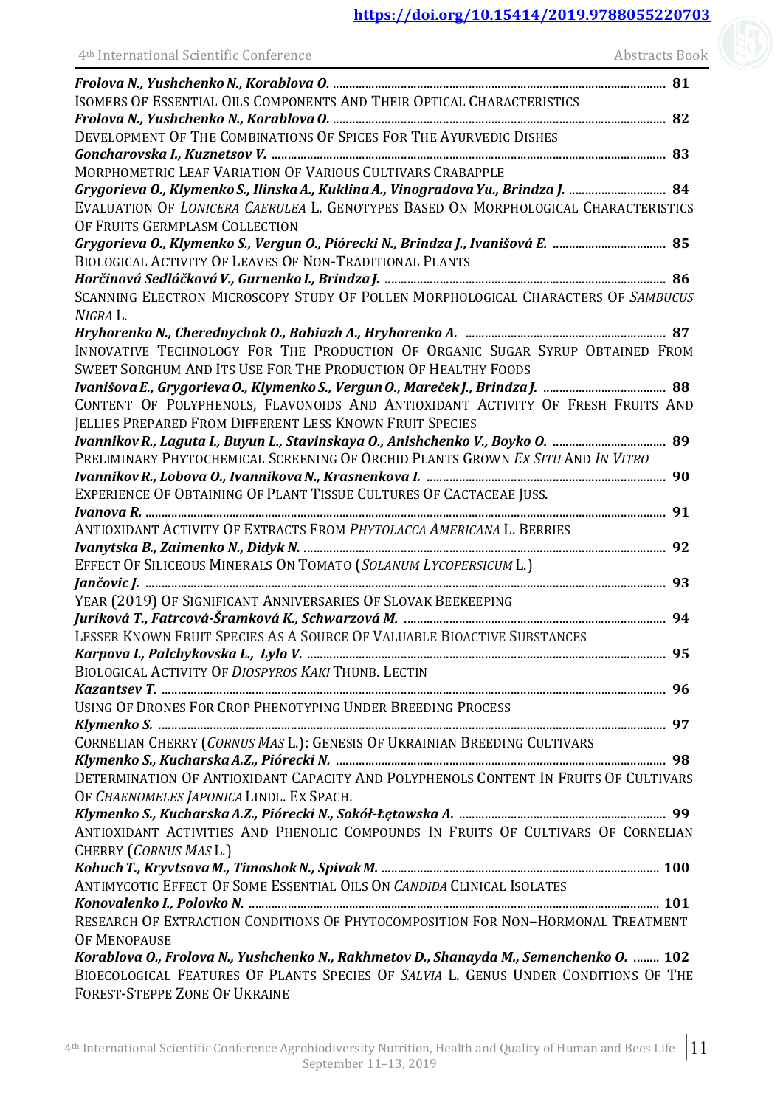| 4 <sup>th</sup> International Scientific Conference                                          | <b>Abstracts Book</b> |
|----------------------------------------------------------------------------------------------|-----------------------|
|                                                                                              |                       |
| ISOMERS OF ESSENTIAL OILS COMPONENTS AND THEIR OPTICAL CHARACTERISTICS                       |                       |
|                                                                                              |                       |
| DEVELOPMENT OF THE COMBINATIONS OF SPICES FOR THE AYURVEDIC DISHES                           |                       |
|                                                                                              |                       |
| MORPHOMETRIC LEAF VARIATION OF VARIOUS CULTIVARS CRABAPPLE                                   |                       |
| Grygorieva O., Klymenko S., Ilinska A., Kuklina A., Vinogradova Yu., Brindza J.  84          |                       |
| EVALUATION OF LONICERA CAERULEA L. GENOTYPES BASED ON MORPHOLOGICAL CHARACTERISTICS          |                       |
| OF FRUITS GERMPLASM COLLECTION                                                               |                       |
| Grygorieva O., Klymenko S., Vergun O., Piórecki N., Brindza J., Ivanišová E.  85             |                       |
| <b>BIOLOGICAL ACTIVITY OF LEAVES OF NON-TRADITIONAL PLANTS</b>                               |                       |
|                                                                                              |                       |
| SCANNING ELECTRON MICROSCOPY STUDY OF POLLEN MORPHOLOGICAL CHARACTERS OF SAMBUCUS            |                       |
| NIGRA L.                                                                                     |                       |
| Hryhorenko N., Cherednychok O., Babiazh A., Hryhorenko A. mamanamanamamamamamama. 87         |                       |
| INNOVATIVE TECHNOLOGY FOR THE PRODUCTION OF ORGANIC SUGAR SYRUP OBTAINED FROM                |                       |
| SWEET SORGHUM AND ITS USE FOR THE PRODUCTION OF HEALTHY FOODS                                |                       |
|                                                                                              |                       |
| CONTENT OF POLYPHENOLS, FLAVONOIDS AND ANTIOXIDANT ACTIVITY OF FRESH FRUITS AND              |                       |
| JELLIES PREPARED FROM DIFFERENT LESS KNOWN FRUIT SPECIES                                     |                       |
| Ivannikov R., Laguta I., Buyun L., Stavinskaya O., Anishchenko V., Boyko O. ………………………………… 89 |                       |
| PRELIMINARY PHYTOCHEMICAL SCREENING OF ORCHID PLANTS GROWN EX SITU AND IN VITRO              |                       |
|                                                                                              |                       |
| EXPERIENCE OF OBTAINING OF PLANT TISSUE CULTURES OF CACTACEAE JUSS.                          |                       |
| ANTIOXIDANT ACTIVITY OF EXTRACTS FROM PHYTOLACCA AMERICANA L. BERRIES                        |                       |
|                                                                                              |                       |
| EFFECT OF SILICEOUS MINERALS ON TOMATO (SOLANUM LYCOPERSICUM L.)                             |                       |
|                                                                                              |                       |
| YEAR (2019) OF SIGNIFICANT ANNIVERSARIES OF SLOVAK BEEKEEPING                                |                       |
| Juríková T., Fatrcová-Šramková K., Schwarzová M. ………………………………………………………………………………… 94          |                       |
| LESSER KNOWN FRUIT SPECIES AS A SOURCE OF VALUABLE BIOACTIVE SUBSTANCES                      |                       |
|                                                                                              |                       |
| BIOLOGICAL ACTIVITY OF DIOSPYROS KAKI THUNB. LECTIN                                          |                       |
|                                                                                              |                       |
| USING OF DRONES FOR CROP PHENOTYPING UNDER BREEDING PROCESS                                  |                       |
|                                                                                              |                       |
| CORNELIAN CHERRY (CORNUS MAS L.): GENESIS OF UKRAINIAN BREEDING CULTIVARS                    |                       |
|                                                                                              |                       |
| DETERMINATION OF ANTIOXIDANT CAPACITY AND POLYPHENOLS CONTENT IN FRUITS OF CULTIVARS         |                       |
| OF CHAENOMELES JAPONICA LINDL. EX SPACH.                                                     |                       |
|                                                                                              |                       |
| ANTIOXIDANT ACTIVITIES AND PHENOLIC COMPOUNDS IN FRUITS OF CULTIVARS OF CORNELIAN            |                       |
| CHERRY (CORNUS MAS L.)                                                                       |                       |
|                                                                                              |                       |
| ANTIMYCOTIC EFFECT OF SOME ESSENTIAL OILS ON CANDIDA CLINICAL ISOLATES                       |                       |
|                                                                                              |                       |
| RESEARCH OF EXTRACTION CONDITIONS OF PHYTOCOMPOSITION FOR NON-HORMONAL TREATMENT             |                       |
| <b>OF MENOPAUSE</b>                                                                          |                       |
| Korablova O., Frolova N., Yushchenko N., Rakhmetov D., Shanayda M., Semenchenko O.  102      |                       |
| BIOECOLOGICAL FEATURES OF PLANTS SPECIES OF SALVIA L. GENUS UNDER CONDITIONS OF THE          |                       |
| FOREST-STEPPE ZONE OF UKRAINE                                                                |                       |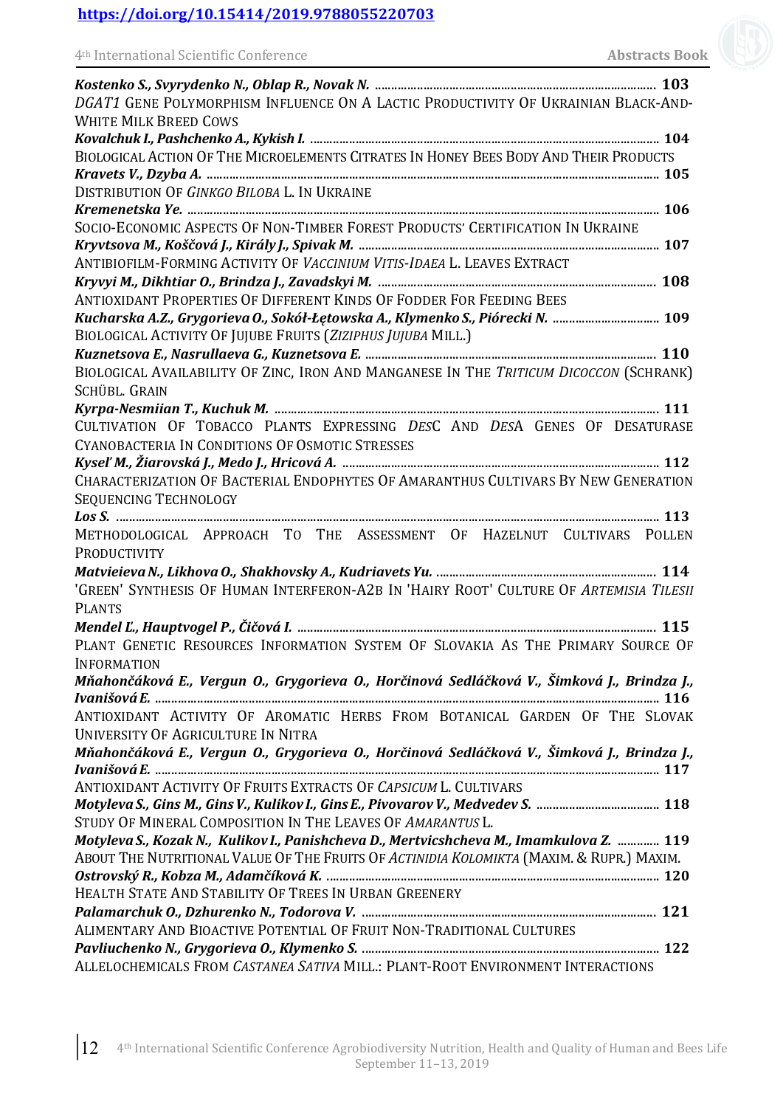| DGAT1 GENE POLYMORPHISM INFLUENCE ON A LACTIC PRODUCTIVITY OF UKRAINIAN BLACK-AND-          |
|---------------------------------------------------------------------------------------------|
| <b>WHITE MILK BREED COWS</b>                                                                |
|                                                                                             |
| BIOLOGICAL ACTION OF THE MICROELEMENTS CITRATES IN HONEY BEES BODY AND THEIR PRODUCTS       |
|                                                                                             |
| DISTRIBUTION OF GINKGO BILOBA L. IN UKRAINE                                                 |
|                                                                                             |
| SOCIO-ECONOMIC ASPECTS OF NON-TIMBER FOREST PRODUCTS' CERTIFICATION IN UKRAINE              |
|                                                                                             |
| ANTIBIOFILM-FORMING ACTIVITY OF VACCINIUM VITIS-IDAEA L. LEAVES EXTRACT                     |
|                                                                                             |
| ANTIOXIDANT PROPERTIES OF DIFFERENT KINDS OF FODDER FOR FEEDING BEES                        |
| Kucharska A.Z., Grygorieva O., Sokół-Łętowska A., Klymenko S., Piórecki N.  109             |
| BIOLOGICAL ACTIVITY OF JUJUBE FRUITS (ZIZIPHUS JUJUBA MILL.)                                |
|                                                                                             |
| BIOLOGICAL AVAILABILITY OF ZINC, IRON AND MANGANESE IN THE TRITICUM DICOCCON (SCHRANK)      |
| SCHÜBL, GRAIN                                                                               |
|                                                                                             |
| CULTIVATION OF TOBACCO PLANTS EXPRESSING DESC AND DESA GENES OF DESATURASE                  |
| CYANOBACTERIA IN CONDITIONS OF OSMOTIC STRESSES                                             |
|                                                                                             |
| CHARACTERIZATION OF BACTERIAL ENDOPHYTES OF AMARANTHUS CULTIVARS BY NEW GENERATION          |
|                                                                                             |
| <b>SEQUENCING TECHNOLOGY</b>                                                                |
|                                                                                             |
| METHODOLOGICAL APPROACH TO THE ASSESSMENT OF HAZELNUT CULTIVARS POLLEN                      |
| PRODUCTIVITY                                                                                |
|                                                                                             |
| 'GREEN' SYNTHESIS OF HUMAN INTERFERON-A2B IN 'HAIRY ROOT' CULTURE OF ARTEMISIA TILESII      |
| <b>PLANTS</b>                                                                               |
|                                                                                             |
| PLANT GENETIC RESOURCES INFORMATION SYSTEM OF SLOVAKIA AS THE PRIMARY SOURCE OF             |
| <b>INFORMATION</b>                                                                          |
| Mňahončáková E., Vergun O., Grygorieva O., Horčinová Sedláčková V., Šimková J., Brindza J., |
|                                                                                             |
| ANTIOXIDANT ACTIVITY OF AROMATIC HERBS FROM BOTANICAL GARDEN OF THE SLOVAK                  |
| <b>UNIVERSITY OF AGRICULTURE IN NITRA</b>                                                   |
| Mňahončáková E., Vergun O., Grygorieva O., Horčinová Sedláčková V., Šimková J., Brindza J., |
|                                                                                             |
| ANTIOXIDANT ACTIVITY OF FRUITS EXTRACTS OF CAPSICUM L. CULTIVARS                            |
|                                                                                             |
| STUDY OF MINERAL COMPOSITION IN THE LEAVES OF AMARANTUS L.                                  |
| Motyleva S., Kozak N., Kulikov I., Panishcheva D., Mertvicshcheva M., Imamkulova Z.  119    |
| ABOUT THE NUTRITIONAL VALUE OF THE FRUITS OF ACTINIDIA KOLOMIKTA (MAXIM. & RUPR.) MAXIM.    |
|                                                                                             |
| HEALTH STATE AND STABILITY OF TREES IN URBAN GREENERY                                       |
|                                                                                             |
| ALIMENTARY AND BIOACTIVE POTENTIAL OF FRUIT NON-TRADITIONAL CULTURES                        |
|                                                                                             |
| ALLELOCHEMICALS FROM CASTANEA SATIVA MILL.: PLANT-ROOT ENVIRONMENT INTERACTIONS             |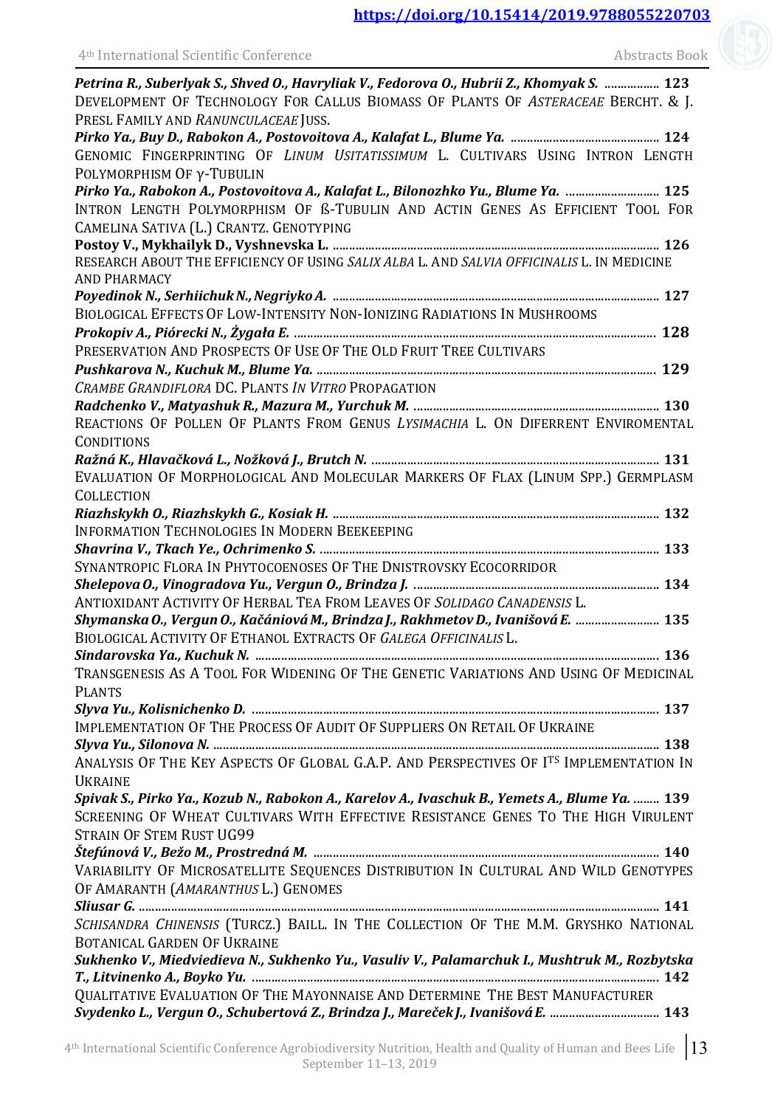| 4 <sup>th</sup> International Scientific Conference                                                                                                                                                                    | <b>Abstracts Book</b> |
|------------------------------------------------------------------------------------------------------------------------------------------------------------------------------------------------------------------------|-----------------------|
| Petrina R., Suberlyak S., Shved O., Havryliak V., Fedorova O., Hubrii Z., Khomyak S.  123<br>DEVELOPMENT OF TECHNOLOGY FOR CALLUS BIOMASS OF PLANTS OF ASTERACEAE BERCHT. & J.<br>PRESL FAMILY AND RANUNCULACEAE JUSS. |                       |
|                                                                                                                                                                                                                        |                       |
| GENOMIC FINGERPRINTING OF LINUM USITATISSIMUM L. CULTIVARS USING INTRON LENGTH<br>POLYMORPHISM OF y-TUBULIN                                                                                                            |                       |
| Pirko Ya., Rabokon A., Postovoitova A., Kalafat L., Bilonozhko Yu., Blume Ya.  125                                                                                                                                     |                       |
| INTRON LENGTH POLYMORPHISM OF B-TUBULIN AND ACTIN GENES AS EFFICIENT TOOL FOR<br>CAMELINA SATIVA (L.) CRANTZ. GENOTYPING                                                                                               |                       |
|                                                                                                                                                                                                                        |                       |
| RESEARCH ABOUT THE EFFICIENCY OF USING SALIX ALBA L. AND SALVIA OFFICINALIS L. IN MEDICINE<br><b>AND PHARMACY</b>                                                                                                      |                       |
|                                                                                                                                                                                                                        |                       |
| BIOLOGICAL EFFECTS OF LOW-INTENSITY NON-IONIZING RADIATIONS IN MUSHROOMS                                                                                                                                               |                       |
|                                                                                                                                                                                                                        |                       |
| PRESERVATION AND PROSPECTS OF USE OF THE OLD FRUIT TREE CULTIVARS                                                                                                                                                      |                       |
|                                                                                                                                                                                                                        |                       |
| CRAMBE GRANDIFLORA DC. PLANTS IN VITRO PROPAGATION                                                                                                                                                                     |                       |
|                                                                                                                                                                                                                        |                       |
| REACTIONS OF POLLEN OF PLANTS FROM GENUS LYSIMACHIA L. ON DIFERRENT ENVIROMENTAL<br><b>CONDITIONS</b>                                                                                                                  |                       |
|                                                                                                                                                                                                                        |                       |
| EVALUATION OF MORPHOLOGICAL AND MOLECULAR MARKERS OF FLAX (LINUM SPP.) GERMPLASM                                                                                                                                       |                       |
| <b>COLLECTION</b>                                                                                                                                                                                                      |                       |
| INFORMATION TECHNOLOGIES IN MODERN BEEKEEPING                                                                                                                                                                          |                       |
|                                                                                                                                                                                                                        |                       |
| SYNANTROPIC FLORA IN PHYTOCOENOSES OF THE DNISTROVSKY ECOCORRIDOR                                                                                                                                                      |                       |
|                                                                                                                                                                                                                        |                       |
| ANTIOXIDANT ACTIVITY OF HERBAL TEA FROM LEAVES OF SOLIDAGO CANADENSIS L.                                                                                                                                               |                       |
| Shymanska O., Vergun O., Kačániová M., Brindza J., Rakhmetov D., Ivanišová E.  135<br>BIOLOGICAL ACTIVITY OF ETHANOL EXTRACTS OF GALEGA OFFICINALIS L.                                                                 |                       |
|                                                                                                                                                                                                                        |                       |
| TRANSGENESIS AS A TOOL FOR WIDENING OF THE GENETIC VARIATIONS AND USING OF MEDICINAL<br><b>PLANTS</b>                                                                                                                  |                       |
|                                                                                                                                                                                                                        |                       |
| IMPLEMENTATION OF THE PROCESS OF AUDIT OF SUPPLIERS ON RETAIL OF UKRAINE                                                                                                                                               |                       |
|                                                                                                                                                                                                                        |                       |
| ANALYSIS OF THE KEY ASPECTS OF GLOBAL G.A.P. AND PERSPECTIVES OF ITS IMPLEMENTATION IN<br><b>UKRAINE</b>                                                                                                               |                       |
| Spivak S., Pirko Ya., Kozub N., Rabokon A., Karelov A., Ivaschuk B., Yemets A., Blume Ya.  139                                                                                                                         |                       |
| SCREENING OF WHEAT CULTIVARS WITH EFFECTIVE RESISTANCE GENES TO THE HIGH VIRULENT                                                                                                                                      |                       |
| <b>STRAIN OF STEM RUST UG99</b>                                                                                                                                                                                        |                       |
|                                                                                                                                                                                                                        |                       |
| VARIABILITY OF MICROSATELLITE SEQUENCES DISTRIBUTION IN CULTURAL AND WILD GENOTYPES<br>OF AMARANTH (AMARANTHUS L.) GENOMES                                                                                             |                       |
|                                                                                                                                                                                                                        |                       |
| SCHISANDRA CHINENSIS (TURCZ.) BAILL. IN THE COLLECTION OF THE M.M. GRYSHKO NATIONAL<br><b>BOTANICAL GARDEN OF UKRAINE</b>                                                                                              |                       |
| Sukhenko V., Miedviedieva N., Sukhenko Yu., Vasuliv V., Palamarchuk I., Mushtruk M., Rozbytska                                                                                                                         |                       |
| QUALITATIVE EVALUATION OF THE MAYONNAISE AND DETERMINE THE BEST MANUFACTURER                                                                                                                                           |                       |
| Svydenko L., Vergun O., Schubertová Z., Brindza J., Mareček J., Ivanišová E.  143                                                                                                                                      |                       |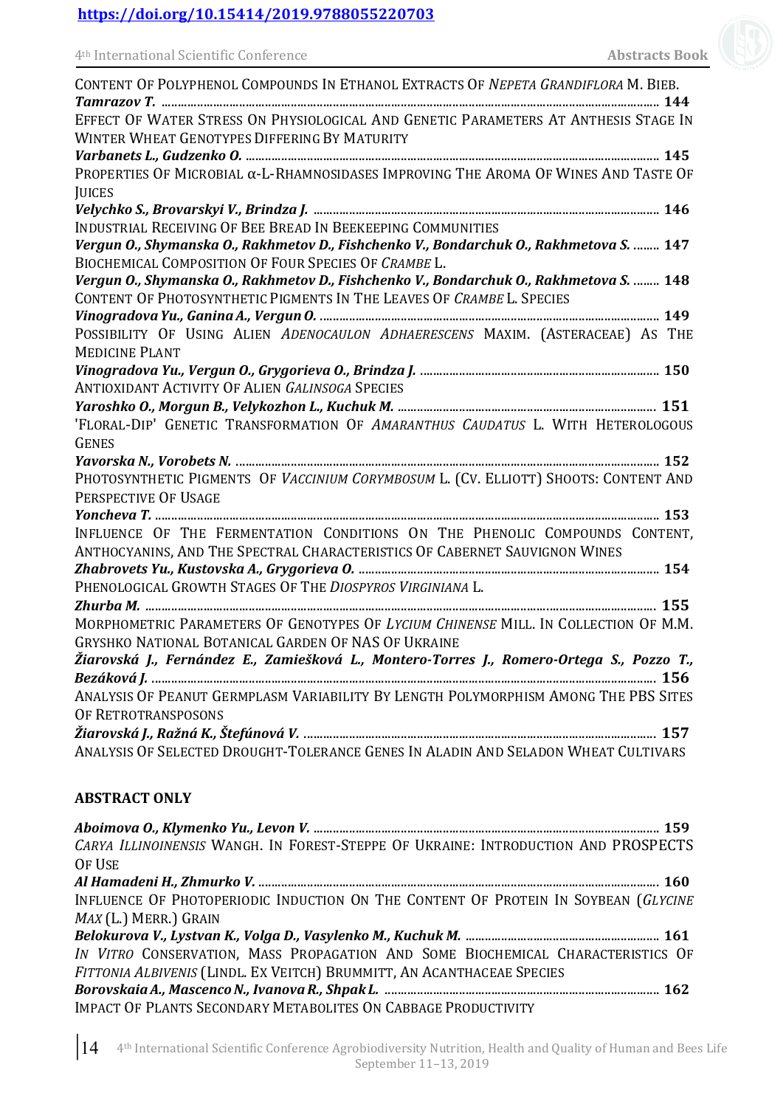| CONTENT OF POLYPHENOL COMPOUNDS IN ETHANOL EXTRACTS OF NEPETA GRANDIFLORA M. BIEB.          |
|---------------------------------------------------------------------------------------------|
|                                                                                             |
| EFFECT OF WATER STRESS ON PHYSIOLOGICAL AND GENETIC PARAMETERS AT ANTHESIS STAGE IN         |
| WINTER WHEAT GENOTYPES DIFFERING BY MATURITY                                                |
|                                                                                             |
| PROPERTIES OF MICROBIAL $\alpha$ -L-RHAMNOSIDASES IMPROVING THE AROMA OF WINES AND TASTE OF |
| <b>JUICES</b>                                                                               |
| INDUSTRIAL RECEIVING OF BEE BREAD IN BEEKEEPING COMMUNITIES                                 |
| Vergun O., Shymanska O., Rakhmetov D., Fishchenko V., Bondarchuk O., Rakhmetova S.  147     |
| <b>BIOCHEMICAL COMPOSITION OF FOUR SPECIES OF CRAMBE L.</b>                                 |
| Vergun O., Shymanska O., Rakhmetov D., Fishchenko V., Bondarchuk O., Rakhmetova S.  148     |
| CONTENT OF PHOTOSYNTHETIC PIGMENTS IN THE LEAVES OF CRAMBE L. SPECIES                       |
|                                                                                             |
| POSSIBILITY OF USING ALIEN ADENOCAULON ADHAERESCENS MAXIM. (ASTERACEAE) AS THE              |
| <b>MEDICINE PLANT</b>                                                                       |
|                                                                                             |
| <b>ANTIOXIDANT ACTIVITY OF ALIEN GALINSOGA SPECIES</b>                                      |
|                                                                                             |
| 'FLORAL-DIP' GENETIC TRANSFORMATION OF AMARANTHUS CAUDATUS L. WITH HETEROLOGOUS             |
| <b>GENES</b>                                                                                |
|                                                                                             |
| PHOTOSYNTHETIC PIGMENTS OF VACCINIUM CORYMBOSUM L. (CV. ELLIOTT) SHOOTS: CONTENT AND        |
| PERSPECTIVE OF USAGE                                                                        |
|                                                                                             |
| INFLUENCE OF THE FERMENTATION CONDITIONS ON THE PHENOLIC COMPOUNDS CONTENT,                 |
| ANTHOCYANINS, AND THE SPECTRAL CHARACTERISTICS OF CABERNET SAUVIGNON WINES                  |
|                                                                                             |
| PHENOLOGICAL GROWTH STAGES OF THE DIOSPYROS VIRGINIANA L.                                   |
|                                                                                             |
| MORPHOMETRIC PARAMETERS OF GENOTYPES OF LYCIUM CHINENSE MILL. IN COLLECTION OF M.M.         |
| <b>GRYSHKO NATIONAL BOTANICAL GARDEN OF NAS OF UKRAINE</b>                                  |
| Žiarovská J., Fernández E., Zamiešková L., Montero-Torres J., Romero-Ortega S., Pozzo T.,   |
|                                                                                             |
| ANALYSIS OF PEANUT GERMPLASM VARIABILITY BY LENGTH POLYMORPHISM AMONG THE PBS SITES         |
| OF RETROTRANSPOSONS                                                                         |
|                                                                                             |
| ANALYSIS OF SELECTED DROUGHT-TOLERANCE GENES IN ALADIN AND SELADON WHEAT CULTIVARS          |

### **ABSTRACT ONLY**

| CARYA ILLINOINENSIS WANGH. IN FOREST-STEPPE OF UKRAINE: INTRODUCTION AND PROSPECTS |
|------------------------------------------------------------------------------------|
| OF USE                                                                             |
|                                                                                    |
| INFLUENCE OF PHOTOPERIODIC INDUCTION ON THE CONTENT OF PROTEIN IN SOYBEAN (GLYCINE |
| $MAX (L.)$ MERR.) GRAIN                                                            |
|                                                                                    |
| IN VITRO CONSERVATION, MASS PROPAGATION AND SOME BIOCHEMICAL CHARACTERISTICS OF    |
| FITTONIA ALBIVENIS (LINDL. EX VEITCH) BRUMMITT, AN ACANTHACEAE SPECIES             |
|                                                                                    |
| <b>IMPACT OF PLANTS SECONDARY METABOLITES ON CABBAGE PRODUCTIVITY</b>              |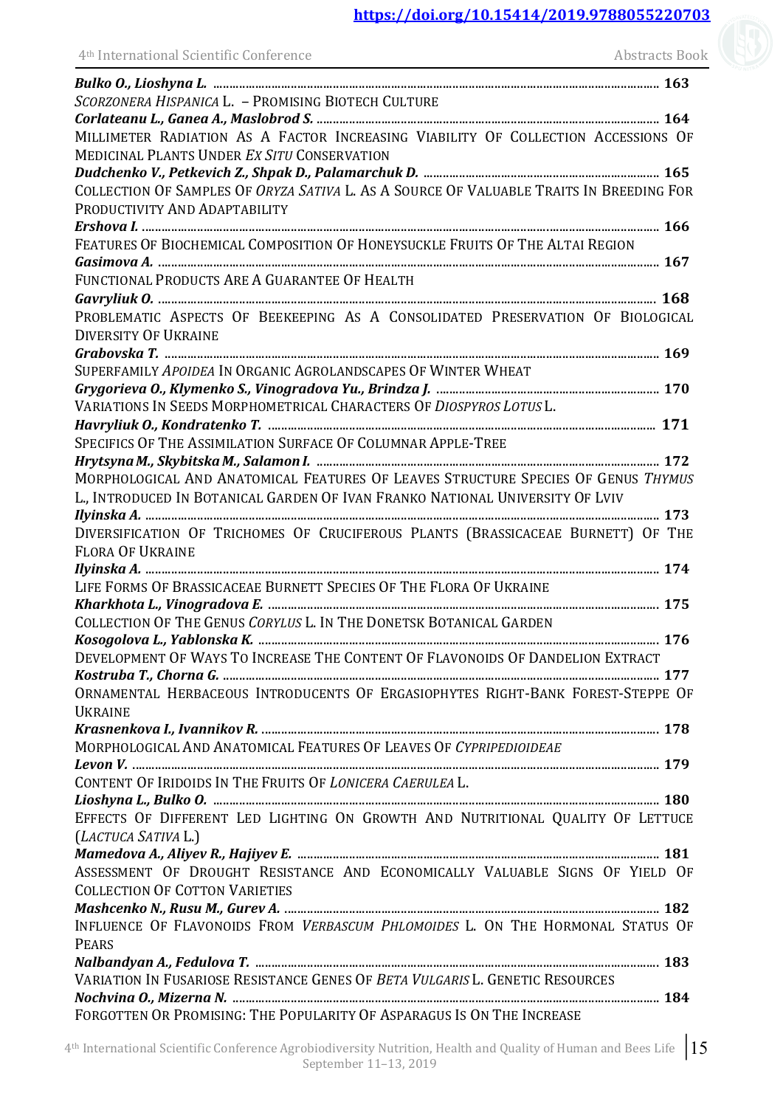| 4 <sup>th</sup> International Scientific Conference                                                                                     | <b>Abstracts Book</b> |
|-----------------------------------------------------------------------------------------------------------------------------------------|-----------------------|
|                                                                                                                                         |                       |
| SCORZONERA HISPANICA L. - PROMISING BIOTECH CULTURE                                                                                     |                       |
|                                                                                                                                         |                       |
| MILLIMETER RADIATION AS A FACTOR INCREASING VIABILITY OF COLLECTION ACCESSIONS OF<br><b>MEDICINAL PLANTS UNDER EX SITU CONSERVATION</b> |                       |
|                                                                                                                                         |                       |
| COLLECTION OF SAMPLES OF ORYZA SATIVA L. AS A SOURCE OF VALUABLE TRAITS IN BREEDING FOR                                                 |                       |
| PRODUCTIVITY AND ADAPTABILITY                                                                                                           |                       |
|                                                                                                                                         |                       |
| FEATURES OF BIOCHEMICAL COMPOSITION OF HONEYSUCKLE FRUITS OF THE ALTAI REGION                                                           |                       |
|                                                                                                                                         |                       |
| FUNCTIONAL PRODUCTS ARE A GUARANTEE OF HEALTH                                                                                           |                       |
|                                                                                                                                         |                       |
| PROBLEMATIC ASPECTS OF BEEKEEPING AS A CONSOLIDATED PRESERVATION OF BIOLOGICAL                                                          |                       |
| <b>DIVERSITY OF UKRAINE</b>                                                                                                             |                       |
|                                                                                                                                         |                       |
| SUPERFAMILY APOIDEA IN ORGANIC AGROLANDSCAPES OF WINTER WHEAT                                                                           |                       |
|                                                                                                                                         |                       |
| VARIATIONS IN SEEDS MORPHOMETRICAL CHARACTERS OF DIOSPYROS LOTUS L.                                                                     |                       |
|                                                                                                                                         |                       |
| SPECIFICS OF THE ASSIMILATION SURFACE OF COLUMNAR APPLE-TREE                                                                            |                       |
|                                                                                                                                         |                       |
| MORPHOLOGICAL AND ANATOMICAL FEATURES OF LEAVES STRUCTURE SPECIES OF GENUS THYMUS                                                       |                       |
| L., INTRODUCED IN BOTANICAL GARDEN OF IVAN FRANKO NATIONAL UNIVERSITY OF LVIV                                                           |                       |
|                                                                                                                                         |                       |
| DIVERSIFICATION OF TRICHOMES OF CRUCIFEROUS PLANTS (BRASSICACEAE BURNETT) OF THE                                                        |                       |
| <b>FLORA OF UKRAINE</b>                                                                                                                 |                       |
|                                                                                                                                         |                       |
| LIFE FORMS OF BRASSICACEAE BURNETT SPECIES OF THE FLORA OF UKRAINE                                                                      |                       |
|                                                                                                                                         |                       |
| COLLECTION OF THE GENUS CORYLUS L. IN THE DONETSK BOTANICAL GARDEN                                                                      |                       |
|                                                                                                                                         |                       |
| DEVELOPMENT OF WAYS TO INCREASE THE CONTENT OF FLAVONOIDS OF DANDELION EXTRACT                                                          |                       |
|                                                                                                                                         |                       |
| ORNAMENTAL HERBACEOUS INTRODUCENTS OF ERGASIOPHYTES RIGHT-BANK FOREST-STEPPE OF                                                         |                       |
| <b>UKRAINE</b>                                                                                                                          |                       |
| MORPHOLOGICAL AND ANATOMICAL FEATURES OF LEAVES OF CYPRIPEDIOIDEAE                                                                      |                       |
|                                                                                                                                         |                       |
| CONTENT OF IRIDOIDS IN THE FRUITS OF LONICERA CAERULEA L.                                                                               |                       |
|                                                                                                                                         |                       |
| EFFECTS OF DIFFERENT LED LIGHTING ON GROWTH AND NUTRITIONAL QUALITY OF LETTUCE                                                          |                       |
| (LACTUCA SATIVA L.)                                                                                                                     |                       |
|                                                                                                                                         |                       |
| ASSESSMENT OF DROUGHT RESISTANCE AND ECONOMICALLY VALUABLE SIGNS OF YIELD OF                                                            |                       |
| <b>COLLECTION OF COTTON VARIETIES</b>                                                                                                   |                       |
|                                                                                                                                         |                       |
| INFLUENCE OF FLAVONOIDS FROM VERBASCUM PHLOMOIDES L. ON THE HORMONAL STATUS OF                                                          |                       |
| <b>PEARS</b>                                                                                                                            |                       |
|                                                                                                                                         |                       |
| VARIATION IN FUSARIOSE RESISTANCE GENES OF BETA VULGARIS L. GENETIC RESOURCES                                                           |                       |
|                                                                                                                                         |                       |
| FORGOTTEN OR PROMISING: THE POPULARITY OF ASPARAGUS IS ON THE INCREASE                                                                  |                       |